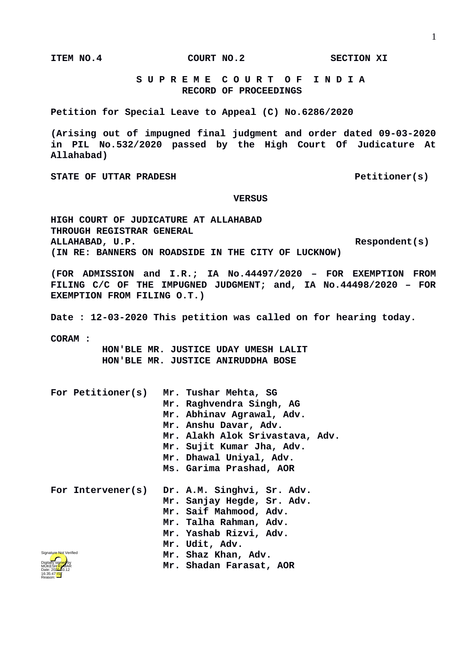**ITEM NO.4 COURT NO.2 SECTION XI**

 **S U P R E M E C O U R T O F I N D I A RECORD OF PROCEEDINGS**

**Petition for Special Leave to Appeal (C) No.6286/2020**

**(Arising out of impugned final judgment and order dated 09-03-2020 in PIL No.532/2020 passed by the High Court Of Judicature At Allahabad)**

STATE OF UTTAR PRADESH **PETITION PETITIONER PETITIONER PETITIONER PETITIONER** 

## **VERSUS**

**HIGH COURT OF JUDICATURE AT ALLAHABAD THROUGH REGISTRAR GENERAL ALLAHABAD, U.P. Respondent(s) (IN RE: BANNERS ON ROADSIDE IN THE CITY OF LUCKNOW)** 

**(FOR ADMISSION and I.R.; IA No.44497/2020 – FOR EXEMPTION FROM FILING C/C OF THE IMPUGNED JUDGMENT; and, IA No.44498/2020 – FOR EXEMPTION FROM FILING O.T.)**

**Date : 12-03-2020 This petition was called on for hearing today.**

**CORAM :** 

 **HON'BLE MR. JUSTICE UDAY UMESH LALIT HON'BLE MR. JUSTICE ANIRUDDHA BOSE**

| For Petitioner(s)                          | Mr. Tushar Mehta, SG<br>Mr. Raghvendra Singh, AG<br>Mr. Abhinav Agrawal, Adv.<br>Mr. Anshu Davar, Adv.<br>Mr. Alakh Alok Srivastava, Adv.<br>Mr. Sujit Kumar Jha, Adv.<br>Mr. Dhawal Uniyal, Adv.<br>Ms. Garima Prashad, AOR |
|--------------------------------------------|------------------------------------------------------------------------------------------------------------------------------------------------------------------------------------------------------------------------------|
| For Intervener(s)                          | Dr. A.M. Singhvi, Sr. Adv.<br>Mr. Sanjay Hegde, Sr. Adv.<br>Mr. Saif Mahmood, Adv.<br>Mr. Talha Rahman, Adv.<br>Mr. Yashab Rizvi, Adv.<br>Mr. Udit, Adv.                                                                     |
| Signature Not Verified<br>Digitally signed | Mr. Shaz Khan, Adv.<br>Mr. Shadan Farasat, AOR                                                                                                                                                                               |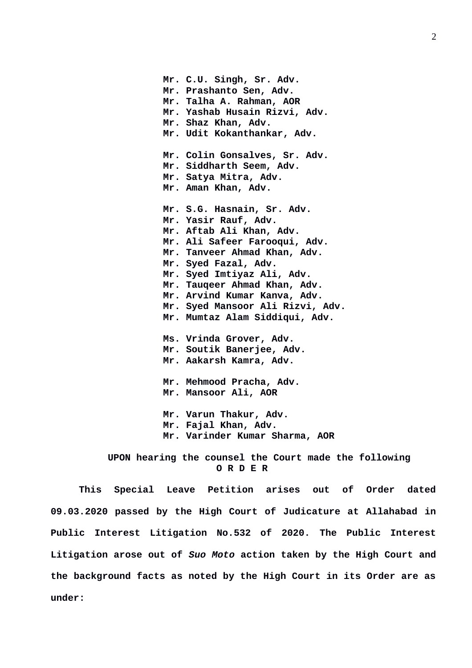**Mr. C.U. Singh, Sr. Adv. Mr. Prashanto Sen, Adv. Mr. Talha A. Rahman, AOR Mr. Yashab Husain Rizvi, Adv. Mr. Shaz Khan, Adv. Mr. Udit Kokanthankar, Adv. Mr. Colin Gonsalves, Sr. Adv. Mr. Siddharth Seem, Adv. Mr. Satya Mitra, Adv. Mr. Aman Khan, Adv. Mr. S.G. Hasnain, Sr. Adv. Mr. Yasir Rauf, Adv. Mr. Aftab Ali Khan, Adv. Mr. Ali Safeer Farooqui, Adv. Mr. Tanveer Ahmad Khan, Adv. Mr. Syed Fazal, Adv. Mr. Syed Imtiyaz Ali, Adv. Mr. Tauqeer Ahmad Khan, Adv. Mr. Arvind Kumar Kanva, Adv. Mr. Syed Mansoor Ali Rizvi, Adv. Mr. Mumtaz Alam Siddiqui, Adv. Ms. Vrinda Grover, Adv. Mr. Soutik Banerjee, Adv. Mr. Aakarsh Kamra, Adv. Mr. Mehmood Pracha, Adv. Mr. Mansoor Ali, AOR Mr. Varun Thakur, Adv. Mr. Fajal Khan, Adv. Mr. Varinder Kumar Sharma, AOR**

 **UPON hearing the counsel the Court made the following O R D E R**

**This Special Leave Petition arises out of Order dated 09.03.2020 passed by the High Court of Judicature at Allahabad in Public Interest Litigation No.532 of 2020. The Public Interest Litigation arose out of** *Suo Moto* **action taken by the High Court and the background facts as noted by the High Court in its Order are as under:**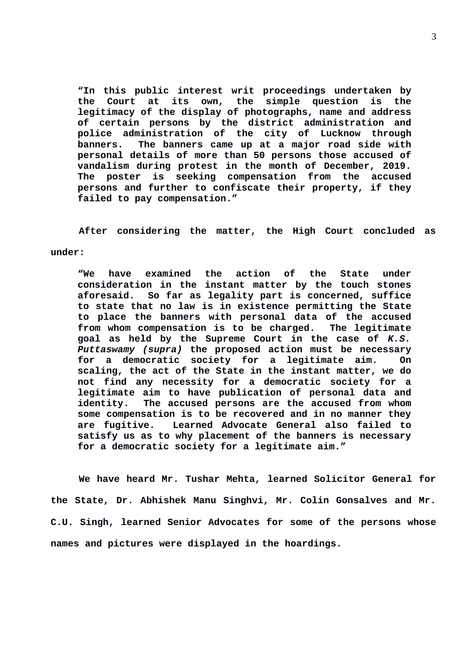**"In this public interest writ proceedings undertaken by the Court at its own, the simple question is the legitimacy of the display of photographs, name and address of certain persons by the district administration and police administration of the city of Lucknow through banners. The banners came up at a major road side with personal details of more than 50 persons those accused of vandalism during protest in the month of December, 2019. The poster is seeking compensation from the accused persons and further to confiscate their property, if they failed to pay compensation."**

**After considering the matter, the High Court concluded as**

## **under:**

**"We have examined the action of the State under consideration in the instant matter by the touch stones aforesaid. So far as legality part is concerned, suffice to state that no law is in existence permitting the State to place the banners with personal data of the accused from whom compensation is to be charged. The legitimate goal as held by the Supreme Court in the case of** *K.S. Puttaswamy (supra)* **the proposed action must be necessary for a democratic society for a legitimate aim. On scaling, the act of the State in the instant matter, we do not find any necessity for a democratic society for a legitimate aim to have publication of personal data and identity. The accused persons are the accused from whom some compensation is to be recovered and in no manner they are fugitive. Learned Advocate General also failed to satisfy us as to why placement of the banners is necessary for a democratic society for a legitimate aim."**

**We have heard Mr. Tushar Mehta, learned Solicitor General for the State, Dr. Abhishek Manu Singhvi, Mr. Colin Gonsalves and Mr. C.U. Singh, learned Senior Advocates for some of the persons whose names and pictures were displayed in the hoardings.**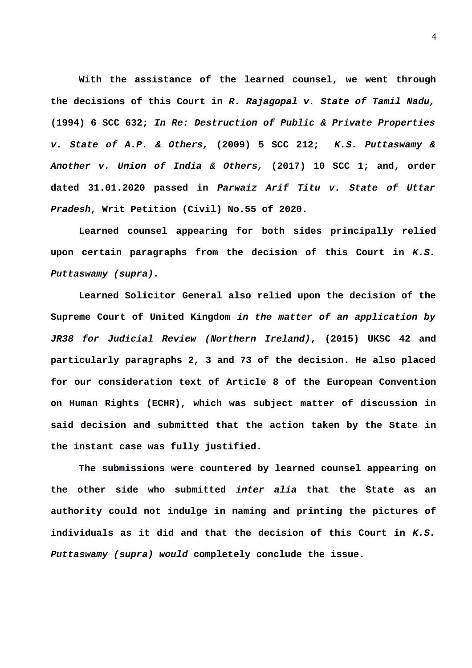**With the assistance of the learned counsel, we went through the decisions of this Court in** *R. Rajagopal v. State of Tamil Nadu,* **(1994) 6 SCC 632;** *In Re: Destruction of Public & Private Properties v. State of A.P. & Others,* **(2009) 5 SCC 212;** *K.S. Puttaswamy & Another v. Union of India & Others,* **(2017) 10 SCC 1; and, order dated 31.01.2020 passed in** *Parwaiz Arif Titu v. State of Uttar Pradesh***, Writ Petition (Civil) No.55 of 2020.**

**Learned counsel appearing for both sides principally relied upon certain paragraphs from the decision of this Court in** *K.S. Puttaswamy (supra).*

**Learned Solicitor General also relied upon the decision of the Supreme Court of United Kingdom** *in the matter of an application by JR38 for Judicial Review (Northern Ireland)***, (2015) UKSC 42 and particularly paragraphs 2, 3 and 73 of the decision. He also placed for our consideration text of Article 8 of the European Convention on Human Rights (ECHR), which was subject matter of discussion in said decision and submitted that the action taken by the State in the instant case was fully justified.**

 **The submissions were countered by learned counsel appearing on the other side who submitted** *inter alia* **that the State as an authority could not indulge in naming and printing the pictures of individuals as it did and that the decision of this Court in** *K.S. Puttaswamy (supra) would* **completely conclude the issue.**

4